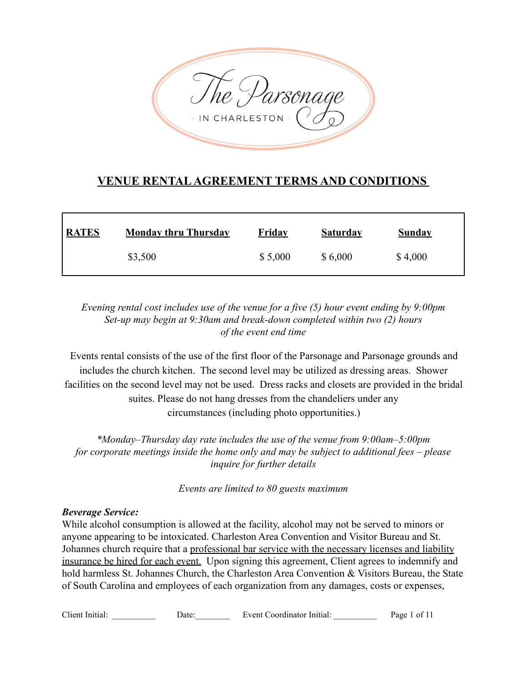

# **VENUE RENTALAGREEMENT TERMS AND CONDITIONS**

| <b>RATES</b> | <b>Monday thru Thursday</b> | <b>Friday</b> | <b>Saturday</b> | <b>Sunday</b> |
|--------------|-----------------------------|---------------|-----------------|---------------|
|              | \$3,500                     | \$5,000       | \$6,000         | \$4,000       |

*Evening rental cost includes use of the venue for a five (5) hour event ending by 9:00pm Set-up may begin at 9:30am and break-down completed within two (2) hours of the event end time*

Events rental consists of the use of the first floor of the Parsonage and Parsonage grounds and includes the church kitchen. The second level may be utilized as dressing areas. Shower facilities on the second level may not be used. Dress racks and closets are provided in the bridal suites. Please do not hang dresses from the chandeliers under any circumstances (including photo opportunities.)

*\*Monday–Thursday day rate includes the use of the venue from 9:00am–5:00pm for corporate meetings inside the home only and may be subject to additional fees – please inquire for further details*

*Events are limited to 80 guests maximum*

#### *Beverage Service:*

While alcohol consumption is allowed at the facility, alcohol may not be served to minors or anyone appearing to be intoxicated. Charleston Area Convention and Visitor Bureau and St. Johannes church require that a professional bar service with the necessary licenses and liability insurance be hired for each event. Upon signing this agreement, Client agrees to indemnify and hold harmless St. Johannes Church, the Charleston Area Convention & Visitors Bureau, the State of South Carolina and employees of each organization from any damages, costs or expenses,

Client Initial: \_\_\_\_\_\_\_\_\_\_ Date:\_\_\_\_\_\_\_\_ Event Coordinator Initial: \_\_\_\_\_\_\_\_\_\_ Page 1 of 11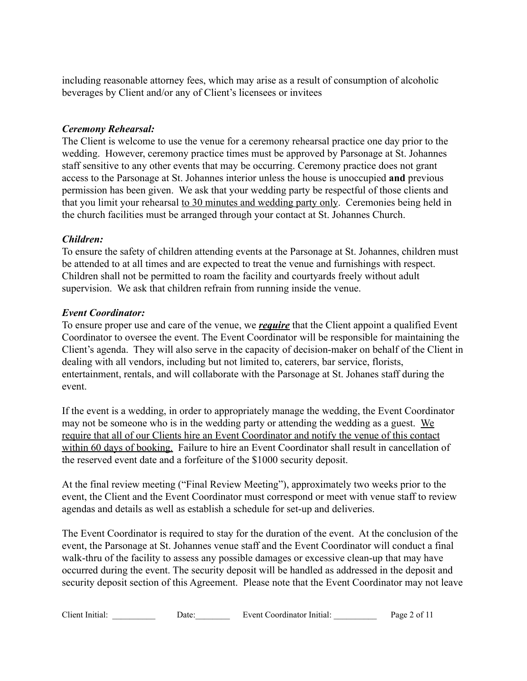including reasonable attorney fees, which may arise as a result of consumption of alcoholic beverages by Client and/or any of Client's licensees or invitees

#### *Ceremony Rehearsal:*

The Client is welcome to use the venue for a ceremony rehearsal practice one day prior to the wedding. However, ceremony practice times must be approved by Parsonage at St. Johannes staff sensitive to any other events that may be occurring. Ceremony practice does not grant access to the Parsonage at St. Johannes interior unless the house is unoccupied **and** previous permission has been given. We ask that your wedding party be respectful of those clients and that you limit your rehearsal to 30 minutes and wedding party only. Ceremonies being held in the church facilities must be arranged through your contact at St. Johannes Church.

## *Children:*

To ensure the safety of children attending events at the Parsonage at St. Johannes, children must be attended to at all times and are expected to treat the venue and furnishings with respect. Children shall not be permitted to roam the facility and courtyards freely without adult supervision. We ask that children refrain from running inside the venue.

#### *Event Coordinator:*

To ensure proper use and care of the venue, we *require* that the Client appoint a qualified Event Coordinator to oversee the event. The Event Coordinator will be responsible for maintaining the Client's agenda. They will also serve in the capacity of decision-maker on behalf of the Client in dealing with all vendors, including but not limited to, caterers, bar service, florists, entertainment, rentals, and will collaborate with the Parsonage at St. Johanes staff during the event.

If the event is a wedding, in order to appropriately manage the wedding, the Event Coordinator may not be someone who is in the wedding party or attending the wedding as a guest. We require that all of our Clients hire an Event Coordinator and notify the venue of this contact within 60 days of booking. Failure to hire an Event Coordinator shall result in cancellation of the reserved event date and a forfeiture of the \$1000 security deposit.

At the final review meeting ("Final Review Meeting"), approximately two weeks prior to the event, the Client and the Event Coordinator must correspond or meet with venue staff to review agendas and details as well as establish a schedule for set-up and deliveries.

The Event Coordinator is required to stay for the duration of the event. At the conclusion of the event, the Parsonage at St. Johannes venue staff and the Event Coordinator will conduct a final walk-thru of the facility to assess any possible damages or excessive clean-up that may have occurred during the event. The security deposit will be handled as addressed in the deposit and security deposit section of this Agreement. Please note that the Event Coordinator may not leave

| Client Initial: | Jate: | Event Coordinator Initial: | Page 2 of 11 |
|-----------------|-------|----------------------------|--------------|
|-----------------|-------|----------------------------|--------------|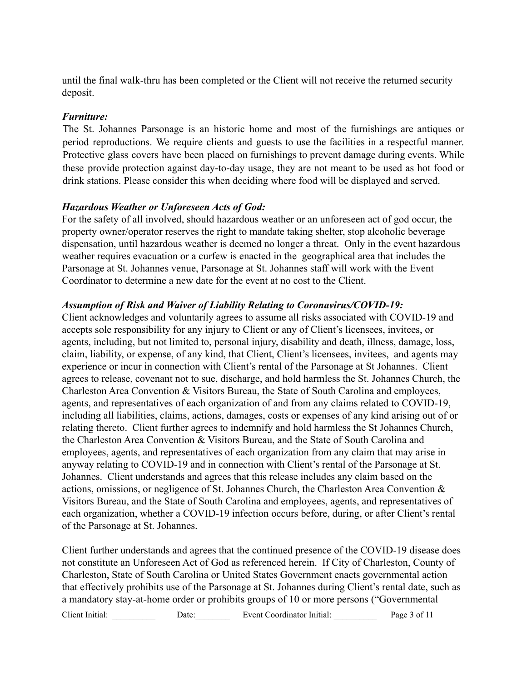until the final walk-thru has been completed or the Client will not receive the returned security deposit.

#### *Furniture:*

The St. Johannes Parsonage is an historic home and most of the furnishings are antiques or period reproductions. We require clients and guests to use the facilities in a respectful manner. Protective glass covers have been placed on furnishings to prevent damage during events. While these provide protection against day-to-day usage, they are not meant to be used as hot food or drink stations. Please consider this when deciding where food will be displayed and served.

#### *Hazardous Weather or Unforeseen Acts of God:*

For the safety of all involved, should hazardous weather or an unforeseen act of god occur, the property owner/operator reserves the right to mandate taking shelter, stop alcoholic beverage dispensation, until hazardous weather is deemed no longer a threat. Only in the event hazardous weather requires evacuation or a curfew is enacted in the geographical area that includes the Parsonage at St. Johannes venue, Parsonage at St. Johannes staff will work with the Event Coordinator to determine a new date for the event at no cost to the Client.

#### *Assumption of Risk and Waiver of Liability Relating to Coronavirus/COVID-19:*

Client acknowledges and voluntarily agrees to assume all risks associated with COVID-19 and accepts sole responsibility for any injury to Client or any of Client's licensees, invitees, or agents, including, but not limited to, personal injury, disability and death, illness, damage, loss, claim, liability, or expense, of any kind, that Client, Client's licensees, invitees, and agents may experience or incur in connection with Client's rental of the Parsonage at St Johannes. Client agrees to release, covenant not to sue, discharge, and hold harmless the St. Johannes Church, the Charleston Area Convention & Visitors Bureau, the State of South Carolina and employees, agents, and representatives of each organization of and from any claims related to COVID-19, including all liabilities, claims, actions, damages, costs or expenses of any kind arising out of or relating thereto. Client further agrees to indemnify and hold harmless the St Johannes Church, the Charleston Area Convention & Visitors Bureau, and the State of South Carolina and employees, agents, and representatives of each organization from any claim that may arise in anyway relating to COVID-19 and in connection with Client's rental of the Parsonage at St. Johannes. Client understands and agrees that this release includes any claim based on the actions, omissions, or negligence of St. Johannes Church, the Charleston Area Convention & Visitors Bureau, and the State of South Carolina and employees, agents, and representatives of each organization, whether a COVID-19 infection occurs before, during, or after Client's rental of the Parsonage at St. Johannes.

Client further understands and agrees that the continued presence of the COVID-19 disease does not constitute an Unforeseen Act of God as referenced herein. If City of Charleston, County of Charleston, State of South Carolina or United States Government enacts governmental action that effectively prohibits use of the Parsonage at St. Johannes during Client's rental date, such as a mandatory stay-at-home order or prohibits groups of 10 or more persons ("Governmental

Client Initial: \_\_\_\_\_\_\_\_\_\_\_ Date: \_\_\_\_\_\_\_\_\_ Event Coordinator Initial: \_\_\_\_\_\_\_\_\_\_ Page 3 of 11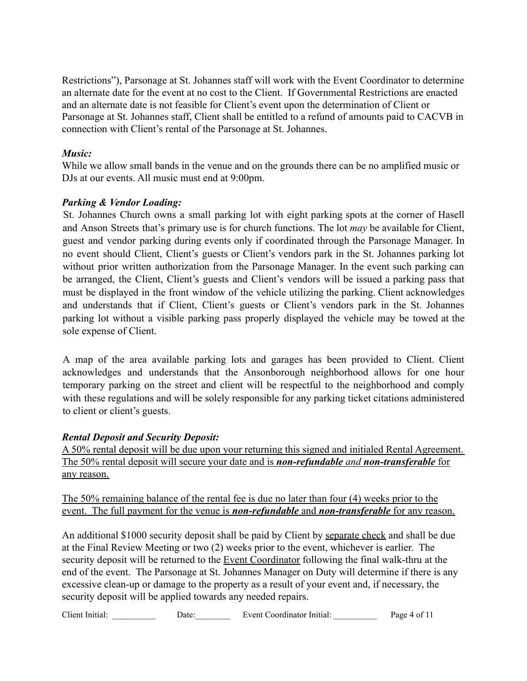Restrictions"), Parsonage at St. Johannes staff will work with the Event Coordinator to determine an alternate date for the event at no cost to the Client. If Governmental Restrictions are enacted and an alternate date is not feasible for Client's event upon the determination of Client or Parsonage at St. Johannes staff, Client shall be entitled to a refund of amounts paid to CACVB in connection with Client's rental of the Parsonage at St. Johannes.

## *Music:*

While we allow small bands in the venue and on the grounds there can be no amplified music or DJs at our events. All music must end at 9:00pm.

## *Parking & Vendor Loading:*

St. Johannes Church owns a small parking lot with eight parking spots at the corner of Hasell and Anson Streets that's primary use is for church functions. The lot *may* be available for Client, guest and vendor parking during events only if coordinated through the Parsonage Manager. In no event should Client, Client's guests or Client's vendors park in the St. Johannes parking lot without prior written authorization from the Parsonage Manager. In the event such parking can be arranged, the Client, Client's guests and Client's vendors will be issued a parking pass that must be displayed in the front window of the vehicle utilizing the parking. Client acknowledges and understands that if Client, Client's guests or Client's vendors park in the St. Johannes parking lot without a visible parking pass properly displayed the vehicle may be towed at the sole expense of Client.

A map of the area available parking lots and garages has been provided to Client. Client acknowledges and understands that the Ansonborough neighborhood allows for one hour temporary parking on the street and client will be respectful to the neighborhood and comply with these regulations and will be solely responsible for any parking ticket citations administered to client or client's guests.

## *Rental Deposit and Security Deposit:*

A 50% rental deposit will be due upon your returning this signed and initialed Rental Agreement. The 50% rental deposit will secure your date and is *non-refundable and non-transferable* for any reason.

The 50% remaining balance of the rental fee is due no later than four (4) weeks prior to the event. The full payment for the venue is *non-refundable* and *non-transferable* for any reason.

An additional \$1000 security deposit shall be paid by Client by separate check and shall be due at the Final Review Meeting or two (2) weeks prior to the event, whichever is earlier. The security deposit will be returned to the **Event Coordinator** following the final walk-thru at the end of the event. The Parsonage at St. Johannes Manager on Duty will determine if there is any excessive clean-up or damage to the property as a result of your event and, if necessary, the security deposit will be applied towards any needed repairs.

Client Initial: Date: Date: Event Coordinator Initial: Page 4 of 11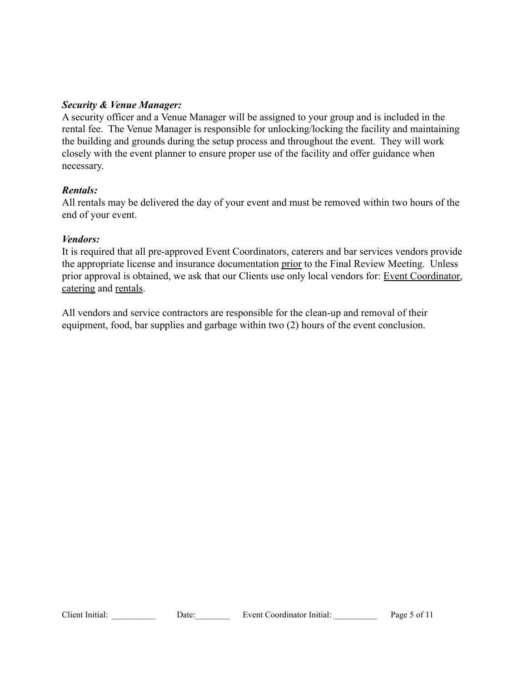#### *Security & Venue Manager:*

A security officer and a Venue Manager will be assigned to your group and is included in the rental fee. The Venue Manager is responsible for unlocking/locking the facility and maintaining the building and grounds during the setup process and throughout the event. They will work closely with the event planner to ensure proper use of the facility and offer guidance when necessary.

#### *Rentals:*

All rentals may be delivered the day of your event and must be removed within two hours of the end of your event.

#### *Vendors:*

It is required that all pre-approved Event Coordinators, caterers and bar services vendors provide the appropriate license and insurance documentation prior to the Final Review Meeting. Unless prior approval is obtained, we ask that our Clients use only local vendors for: Event Coordinator, catering and rentals.

All vendors and service contractors are responsible for the clean-up and removal of their equipment, food, bar supplies and garbage within two (2) hours of the event conclusion.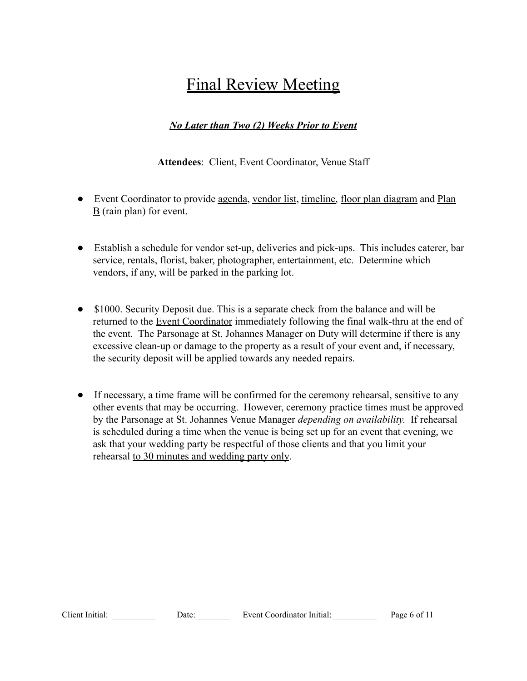# Final Review Meeting

## *No Later than Two (2) Weeks Prior to Event*

**Attendees**: Client, Event Coordinator, Venue Staff

- Event Coordinator to provide <u>agenda, vendor list, timeline</u>, floor plan diagram and Plan  $\underline{B}$  (rain plan) for event.
- Establish a schedule for vendor set-up, deliveries and pick-ups. This includes caterer, bar service, rentals, florist, baker, photographer, entertainment, etc. Determine which vendors, if any, will be parked in the parking lot.
- \$1000. Security Deposit due. This is a separate check from the balance and will be returned to the Event Coordinator immediately following the final walk-thru at the end of the event. The Parsonage at St. Johannes Manager on Duty will determine if there is any excessive clean-up or damage to the property as a result of your event and, if necessary, the security deposit will be applied towards any needed repairs.
- If necessary, a time frame will be confirmed for the ceremony rehearsal, sensitive to any other events that may be occurring. However, ceremony practice times must be approved by the Parsonage at St. Johannes Venue Manager *depending on availability.* If rehearsal is scheduled during a time when the venue is being set up for an event that evening, we ask that your wedding party be respectful of those clients and that you limit your rehearsal to 30 minutes and wedding party only.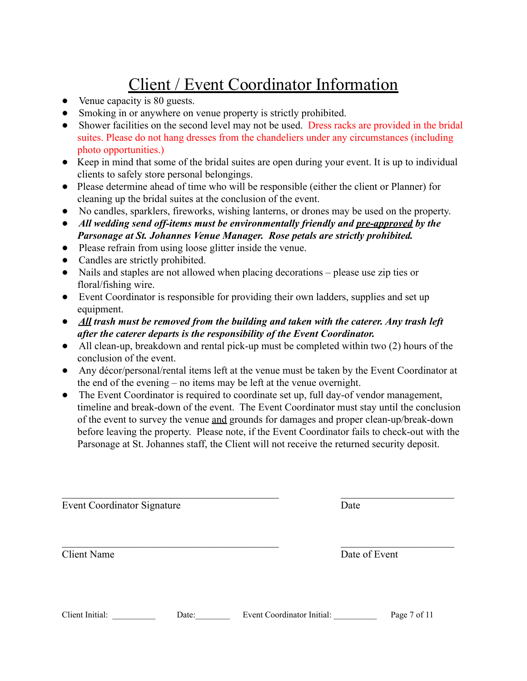# Client / Event Coordinator Information

- Venue capacity is 80 guests.
- Smoking in or anywhere on venue property is strictly prohibited.
- Shower facilities on the second level may not be used. Dress racks are provided in the bridal suites. Please do not hang dresses from the chandeliers under any circumstances (including photo opportunities.)
- Keep in mind that some of the bridal suites are open during your event. It is up to individual clients to safely store personal belongings.
- Please determine ahead of time who will be responsible (either the client or Planner) for cleaning up the bridal suites at the conclusion of the event.
- No candles, sparklers, fireworks, wishing lanterns, or drones may be used on the property.
- *All wedding send off-items must be environmentally friendly and pre-approved by the Parsonage at St. Johannes Venue Manager. Rose petals are strictly prohibited.*
- Please refrain from using loose glitter inside the venue.
- Candles are strictly prohibited.
- Nails and staples are not allowed when placing decorations please use zip ties or floral/fishing wire.
- Event Coordinator is responsible for providing their own ladders, supplies and set up equipment.
- *All trash must be removed from the building and taken with the caterer. Any trash left after the caterer departs is the responsibility of the Event Coordinator.*
- All clean-up, breakdown and rental pick-up must be completed within two (2) hours of the conclusion of the event.
- Any décor/personal/rental items left at the venue must be taken by the Event Coordinator at the end of the evening – no items may be left at the venue overnight.
- The Event Coordinator is required to coordinate set up, full day-of vendor management, timeline and break-down of the event. The Event Coordinator must stay until the conclusion of the event to survey the venue and grounds for damages and proper clean-up/break-down before leaving the property. Please note, if the Event Coordinator fails to check-out with the Parsonage at St. Johannes staff, the Client will not receive the returned security deposit.

 $\mathcal{L}_\text{max}$  , and the contribution of the contribution of the contribution of the contribution of the contribution of the contribution of the contribution of the contribution of the contribution of the contribution of t

 $\mathcal{L}_\text{max}$  , and the contribution of the contribution of the contribution of the contribution of the contribution of the contribution of the contribution of the contribution of the contribution of the contribution of t

Event Coordinator Signature Date

Client Name Date of Event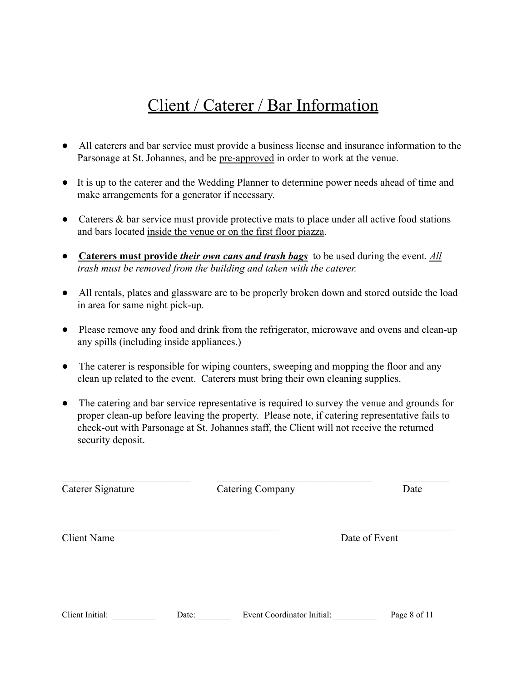# Client / Caterer / Bar Information

- All caterers and bar service must provide a business license and insurance information to the Parsonage at St. Johannes, and be pre-approved in order to work at the venue.
- It is up to the caterer and the Wedding Planner to determine power needs ahead of time and make arrangements for a generator if necessary.
- Caterers & bar service must provide protective mats to place under all active food stations and bars located inside the venue or on the first floor piazza.
- **Caterers must provide** *their own cans and trash bags* to be used during the event. *All trash must be removed from the building and taken with the caterer.*
- All rentals, plates and glassware are to be properly broken down and stored outside the load in area for same night pick-up.
- Please remove any food and drink from the refrigerator, microwave and ovens and clean-up any spills (including inside appliances.)
- The caterer is responsible for wiping counters, sweeping and mopping the floor and any clean up related to the event. Caterers must bring their own cleaning supplies.
- The catering and bar service representative is required to survey the venue and grounds for proper clean-up before leaving the property. Please note, if catering representative fails to check-out with Parsonage at St. Johannes staff, the Client will not receive the returned security deposit.

 $\_$  , and the contribution of  $\overline{\mathcal{L}}$  , and  $\overline{\mathcal{L}}$  , and  $\overline{\mathcal{L}}$  , and  $\overline{\mathcal{L}}$  , and  $\overline{\mathcal{L}}$  , and  $\overline{\mathcal{L}}$ Catering Company Date

 $\mathcal{L}_\text{max}$  , and the contribution of the contribution of the contribution of the contribution of the contribution of the contribution of the contribution of the contribution of the contribution of the contribution of t

Client Name Date of Event

| Client Initial: | ⊅ate: | Event Coordinator Initial: | Page 8 of 11 |
|-----------------|-------|----------------------------|--------------|
|-----------------|-------|----------------------------|--------------|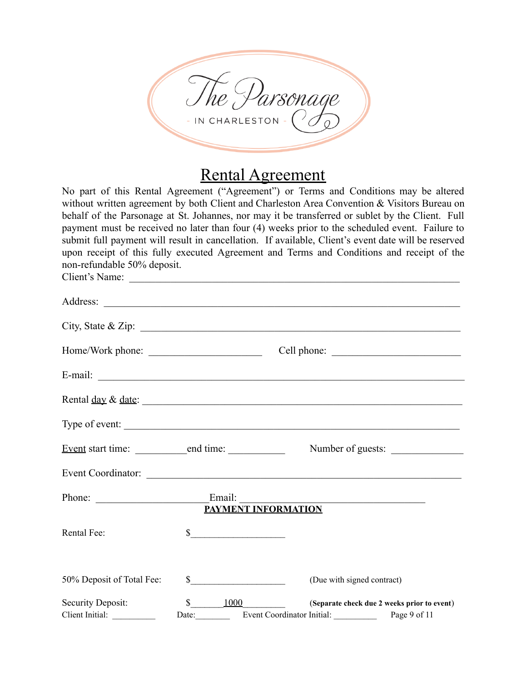

# Rental Agreement

No part of this Rental Agreement ("Agreement") or Terms and Conditions may be altered without written agreement by both Client and Charleston Area Convention & Visitors Bureau on behalf of the Parsonage at St. Johannes, nor may it be transferred or sublet by the Client. Full payment must be received no later than four (4) weeks prior to the scheduled event. Failure to submit full payment will result in cancellation. If available, Client's event date will be reserved upon receipt of this fully executed Agreement and Terms and Conditions and receipt of the non-refundable 50% deposit.

Client's Name: \_\_\_\_\_\_\_\_\_\_\_\_\_\_\_\_\_\_\_\_\_\_\_\_\_\_\_\_\_\_\_\_\_\_\_\_\_\_\_\_\_\_\_\_\_\_\_\_\_\_\_\_\_\_\_\_\_\_\_\_\_\_\_\_ Address: \_\_\_\_\_\_\_\_\_\_\_\_\_\_\_\_\_\_\_\_\_\_\_\_\_\_\_\_\_\_\_\_\_\_\_\_\_\_\_\_\_\_\_\_\_\_\_\_\_\_\_\_\_\_\_\_\_\_\_\_\_\_\_\_\_\_\_\_\_  $City, State & Zip: \nightharpoonup$ Home/Work phone: \_\_\_\_\_\_\_\_\_\_\_\_\_\_\_\_\_\_\_\_\_\_ Cell phone: \_\_\_\_\_\_\_\_\_\_\_\_\_\_\_\_\_\_\_\_\_\_\_\_\_ E-mail: \_\_\_\_\_\_\_\_\_\_\_\_\_\_\_\_\_\_\_\_\_\_\_\_\_\_\_\_\_\_\_\_\_\_\_\_\_\_\_\_\_\_\_\_\_\_\_\_\_\_\_\_\_\_\_\_\_\_\_\_\_\_\_\_\_\_\_\_\_\_\_ Rental day & date: \_\_\_\_\_\_\_\_\_\_\_\_\_\_\_\_\_\_\_\_\_\_\_\_\_\_\_\_\_\_\_\_\_\_\_\_\_\_\_\_\_\_\_\_\_\_\_\_\_\_\_\_\_\_\_\_\_\_\_\_\_\_ Type of event: Event start time: \_\_\_\_\_\_\_\_\_\_end time: \_\_\_\_\_\_\_\_\_\_\_ Number of guests: \_\_\_\_\_\_\_\_\_\_\_\_\_\_ Event Coordinator: Phone: Email: **PAYMENT INFORMATION** Rental Fee: S 50% Deposit of Total Fee:  $\qquad$  \$ (Due with signed contract) Security Deposit:  $\qquad \qquad \S \qquad \qquad 1000 \qquad \qquad$  (Separate check due 2 weeks prior to event) Client Initial: Date: Date: Event Coordinator Initial: Page 9 of 11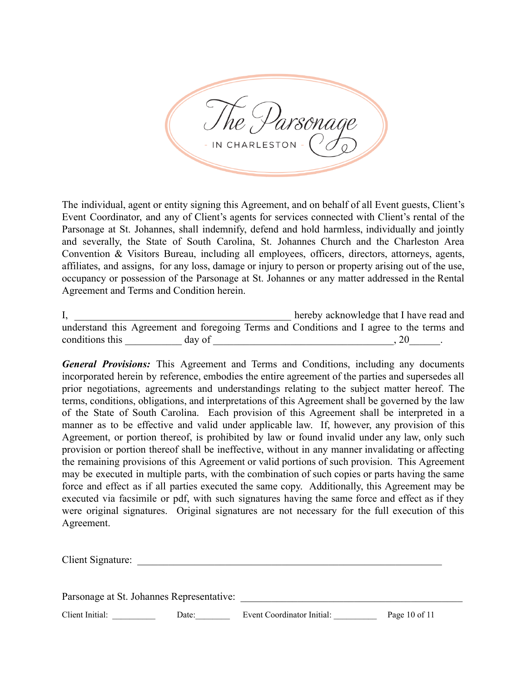IN CHARLESTON

The individual, agent or entity signing this Agreement, and on behalf of all Event guests, Client's Event Coordinator, and any of Client's agents for services connected with Client's rental of the Parsonage at St. Johannes, shall indemnify, defend and hold harmless, individually and jointly and severally, the State of South Carolina, St. Johannes Church and the Charleston Area Convention & Visitors Bureau, including all employees, officers, directors, attorneys, agents, affiliates, and assigns, for any loss, damage or injury to person or property arising out of the use, occupancy or possession of the Parsonage at St. Johannes or any matter addressed in the Rental Agreement and Terms and Condition herein.

| д,                                                                                        |        |  | hereby acknowledge that I have read and |  |  |  |
|-------------------------------------------------------------------------------------------|--------|--|-----------------------------------------|--|--|--|
| understand this Agreement and foregoing Terms and Conditions and I agree to the terms and |        |  |                                         |  |  |  |
| conditions this                                                                           | day of |  |                                         |  |  |  |

*General Provisions:* This Agreement and Terms and Conditions, including any documents incorporated herein by reference, embodies the entire agreement of the parties and supersedes all prior negotiations, agreements and understandings relating to the subject matter hereof. The terms, conditions, obligations, and interpretations of this Agreement shall be governed by the law of the State of South Carolina. Each provision of this Agreement shall be interpreted in a manner as to be effective and valid under applicable law. If, however, any provision of this Agreement, or portion thereof, is prohibited by law or found invalid under any law, only such provision or portion thereof shall be ineffective, without in any manner invalidating or affecting the remaining provisions of this Agreement or valid portions of such provision. This Agreement may be executed in multiple parts, with the combination of such copies or parts having the same force and effect as if all parties executed the same copy. Additionally, this Agreement may be executed via facsimile or pdf, with such signatures having the same force and effect as if they were original signatures. Original signatures are not necessary for the full execution of this Agreement.

| Client Signature:                         |  |
|-------------------------------------------|--|
|                                           |  |
|                                           |  |
| Parsonage at St. Johannes Representative: |  |

Client Initial: Date: Date: Event Coordinator Initial: Page 10 of 11